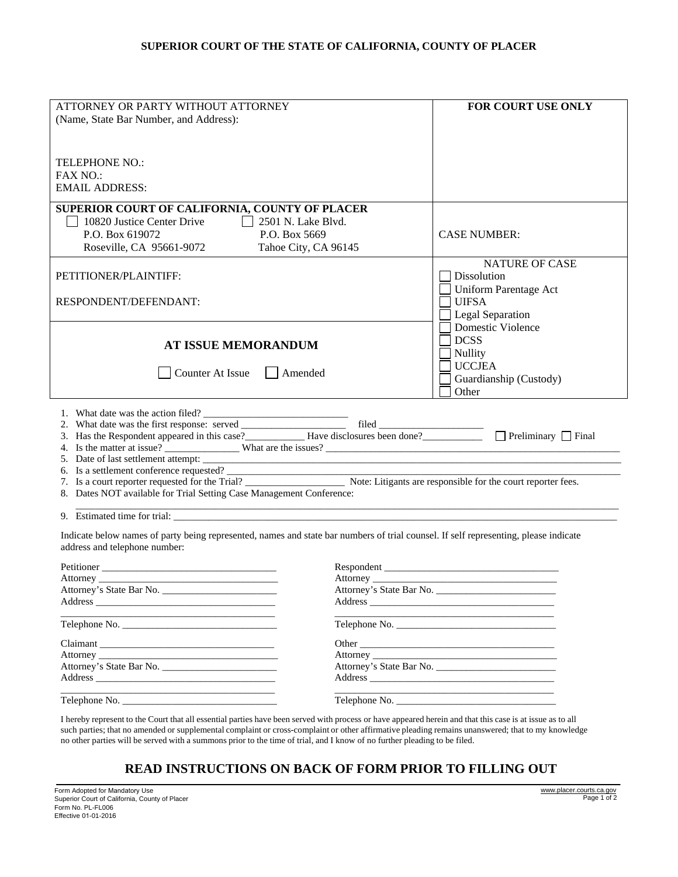## **SUPERIOR COURT OF THE STATE OF CALIFORNIA, COUNTY OF PLACER**

| ATTORNEY OR PARTY WITHOUT ATTORNEY<br>(Name, State Bar Number, and Address):                                                                                                                                                                                                                                                                                                                                                                      | <b>FOR COURT USE ONLY</b>                                                                     |
|---------------------------------------------------------------------------------------------------------------------------------------------------------------------------------------------------------------------------------------------------------------------------------------------------------------------------------------------------------------------------------------------------------------------------------------------------|-----------------------------------------------------------------------------------------------|
|                                                                                                                                                                                                                                                                                                                                                                                                                                                   |                                                                                               |
| <b>TELEPHONE NO.:</b><br><b>FAX NO.:</b>                                                                                                                                                                                                                                                                                                                                                                                                          |                                                                                               |
| <b>EMAIL ADDRESS:</b>                                                                                                                                                                                                                                                                                                                                                                                                                             |                                                                                               |
| SUPERIOR COURT OF CALIFORNIA, COUNTY OF PLACER<br>$\perp$<br>2501 N. Lake Blvd.<br>10820 Justice Center Drive                                                                                                                                                                                                                                                                                                                                     |                                                                                               |
| P.O. Box 619072<br>P.O. Box 5669<br>Roseville, CA 95661-9072<br>Tahoe City, CA 96145                                                                                                                                                                                                                                                                                                                                                              | <b>CASE NUMBER:</b>                                                                           |
| PETITIONER/PLAINTIFF:                                                                                                                                                                                                                                                                                                                                                                                                                             | NATURE OF CASE<br>Dissolution                                                                 |
| RESPONDENT/DEFENDANT:                                                                                                                                                                                                                                                                                                                                                                                                                             | <b>Uniform Parentage Act</b><br><b>UIFSA</b><br>Legal Separation                              |
| AT ISSUE MEMORANDUM                                                                                                                                                                                                                                                                                                                                                                                                                               | Domestic Violence<br><b>DCSS</b><br>Nullity                                                   |
| Counter At Issue<br>$\Box$ Amended                                                                                                                                                                                                                                                                                                                                                                                                                | <b>UCCJEA</b><br>Guardianship (Custody)<br>Other<br><u> 1970 - Jan Barnett, fransk kongre</u> |
| 1. What date was the action filed?<br>2. What date was the first response: served<br>3. Has the Respondent appeared in this case?<br>$\Box$ Have disclosures been done?<br>$\Box$ Preliminary $\Box$ Final<br>6. Is a settlement conference requested?<br>7. Is a court reporter requested for the Trial?<br>Note: Litigants are responsible for the court reporter fees.<br>8. Dates NOT available for Trial Setting Case Management Conference: |                                                                                               |
| 9. Estimated time for trial:                                                                                                                                                                                                                                                                                                                                                                                                                      |                                                                                               |
| Indicate below names of party being represented, names and state bar numbers of trial counsel. If self representing, please indicate<br>address and telephone number:                                                                                                                                                                                                                                                                             |                                                                                               |
| Attorney <u>Jackson No.</u><br>Attorney's State Bar No.                                                                                                                                                                                                                                                                                                                                                                                           |                                                                                               |
|                                                                                                                                                                                                                                                                                                                                                                                                                                                   | Telephone No.                                                                                 |
| Attorney's State Bar No.<br>Address                                                                                                                                                                                                                                                                                                                                                                                                               | Attorney's State Bar No.                                                                      |
| the control of the control of the control of the control of the control of                                                                                                                                                                                                                                                                                                                                                                        | the control of the control of the control of the control of the control of                    |

I hereby represent to the Court that all essential parties have been served with process or have appeared herein and that this case is at issue as to all such parties; that no amended or supplemental complaint or cross-complaint or other affirmative pleading remains unanswered; that to my knowledge no other parties will be served with a summons prior to the time of trial, and I know of no further pleading to be filed.

## **READ INSTRUCTIONS ON BACK OF FORM PRIOR TO FILLING OUT**